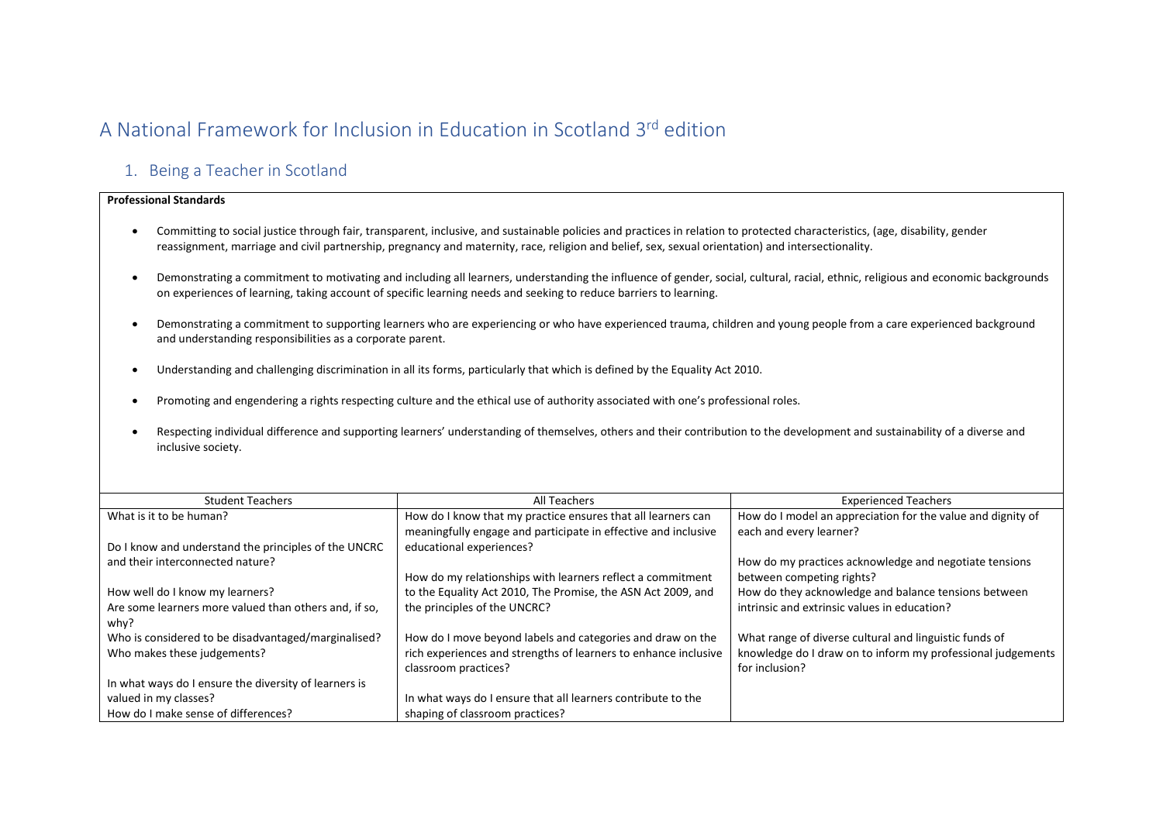## A National Framework for Inclusion in Education in Scotland 3rd edition

## 1. Being a Teacher in Scotland

| <b>Professional Standards</b>                                                                                                                                                                                                                                                                                                     |                                                                                                                                                            |                                                                                                                                         |  |
|-----------------------------------------------------------------------------------------------------------------------------------------------------------------------------------------------------------------------------------------------------------------------------------------------------------------------------------|------------------------------------------------------------------------------------------------------------------------------------------------------------|-----------------------------------------------------------------------------------------------------------------------------------------|--|
| Committing to social justice through fair, transparent, inclusive, and sustainable policies and practices in relation to protected characteristics, (age, disability, gender<br>reassignment, marriage and civil partnership, pregnancy and maternity, race, religion and belief, sex, sexual orientation) and intersectionality. |                                                                                                                                                            |                                                                                                                                         |  |
| Demonstrating a commitment to motivating and including all learners, understanding the influence of gender, social, cultural, racial, ethnic, religious and economic backgrounds<br>on experiences of learning, taking account of specific learning needs and seeking to reduce barriers to learning.                             |                                                                                                                                                            |                                                                                                                                         |  |
| Demonstrating a commitment to supporting learners who are experiencing or who have experienced trauma, children and young people from a care experienced background<br>$\bullet$<br>and understanding responsibilities as a corporate parent.                                                                                     |                                                                                                                                                            |                                                                                                                                         |  |
| Understanding and challenging discrimination in all its forms, particularly that which is defined by the Equality Act 2010.                                                                                                                                                                                                       |                                                                                                                                                            |                                                                                                                                         |  |
| Promoting and engendering a rights respecting culture and the ethical use of authority associated with one's professional roles.                                                                                                                                                                                                  |                                                                                                                                                            |                                                                                                                                         |  |
| Respecting individual difference and supporting learners' understanding of themselves, others and their contribution to the development and sustainability of a diverse and<br>inclusive society.                                                                                                                                 |                                                                                                                                                            |                                                                                                                                         |  |
| <b>Student Teachers</b>                                                                                                                                                                                                                                                                                                           | All Teachers                                                                                                                                               | <b>Experienced Teachers</b>                                                                                                             |  |
| What is it to be human?                                                                                                                                                                                                                                                                                                           | How do I know that my practice ensures that all learners can                                                                                               | How do I model an appreciation for the value and dignity of                                                                             |  |
| Do I know and understand the principles of the UNCRC                                                                                                                                                                                                                                                                              | meaningfully engage and participate in effective and inclusive<br>educational experiences?                                                                 | each and every learner?                                                                                                                 |  |
| and their interconnected nature?                                                                                                                                                                                                                                                                                                  |                                                                                                                                                            | How do my practices acknowledge and negotiate tensions                                                                                  |  |
| How well do I know my learners?<br>Are some learners more valued than others and, if so,                                                                                                                                                                                                                                          | How do my relationships with learners reflect a commitment<br>to the Equality Act 2010, The Promise, the ASN Act 2009, and<br>the principles of the UNCRC? | between competing rights?<br>How do they acknowledge and balance tensions between<br>intrinsic and extrinsic values in education?       |  |
| whv?                                                                                                                                                                                                                                                                                                                              |                                                                                                                                                            |                                                                                                                                         |  |
| Who is considered to be disadvantaged/marginalised?<br>Who makes these judgements?                                                                                                                                                                                                                                                | How do I move beyond labels and categories and draw on the<br>rich experiences and strengths of learners to enhance inclusive<br>classroom practices?      | What range of diverse cultural and linguistic funds of<br>knowledge do I draw on to inform my professional judgements<br>for inclusion? |  |
| In what ways do I ensure the diversity of learners is                                                                                                                                                                                                                                                                             |                                                                                                                                                            |                                                                                                                                         |  |
| valued in my classes?<br>How do I make sense of differences?                                                                                                                                                                                                                                                                      | In what ways do I ensure that all learners contribute to the<br>shaping of classroom practices?                                                            |                                                                                                                                         |  |